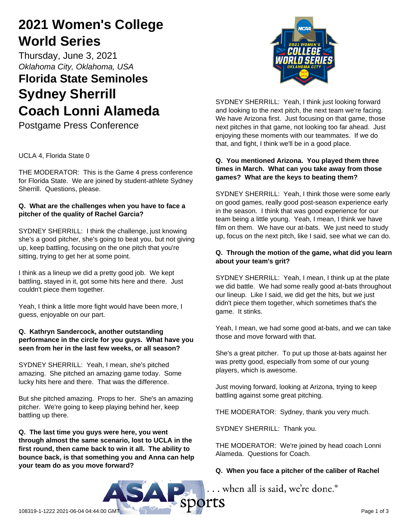## **2021 Women's College World Series**

Thursday, June 3, 2021 *Oklahoma City, Oklahoma, USA*

# **Florida State Seminoles Sydney Sherrill Coach Lonni Alameda**

Postgame Press Conference

UCLA 4, Florida State 0

THE MODERATOR: This is the Game 4 press conference for Florida State. We are joined by student-athlete Sydney Sherrill. Questions, please.

## **Q. What are the challenges when you have to face a pitcher of the quality of Rachel Garcia?**

SYDNEY SHERRILL: I think the challenge, just knowing she's a good pitcher, she's going to beat you, but not giving up, keep battling, focusing on the one pitch that you're sitting, trying to get her at some point.

I think as a lineup we did a pretty good job. We kept battling, stayed in it, got some hits here and there. Just couldn't piece them together.

Yeah, I think a little more fight would have been more, I guess, enjoyable on our part.

## **Q. Kathryn Sandercock, another outstanding performance in the circle for you guys. What have you seen from her in the last few weeks, or all season?**

SYDNEY SHERRILL: Yeah, I mean, she's pitched amazing. She pitched an amazing game today. Some lucky hits here and there. That was the difference.

But she pitched amazing. Props to her. She's an amazing pitcher. We're going to keep playing behind her, keep battling up there.

**Q. The last time you guys were here, you went through almost the same scenario, lost to UCLA in the first round, then came back to win it all. The ability to bounce back, is that something you and Anna can help your team do as you move forward?**



SYDNEY SHERRILL: Yeah, I think just looking forward and looking to the next pitch, the next team we're facing. We have Arizona first. Just focusing on that game, those next pitches in that game, not looking too far ahead. Just enjoying these moments with our teammates. If we do that, and fight, I think we'll be in a good place.

## **Q. You mentioned Arizona. You played them three times in March. What can you take away from those games? What are the keys to beating them?**

SYDNEY SHERRILL: Yeah, I think those were some early on good games, really good post-season experience early in the season. I think that was good experience for our team being a little young. Yeah, I mean, I think we have film on them. We have our at-bats. We just need to study up, focus on the next pitch, like I said, see what we can do.

## **Q. Through the motion of the game, what did you learn about your team's grit?**

SYDNEY SHERRILL: Yeah, I mean, I think up at the plate we did battle. We had some really good at-bats throughout our lineup. Like I said, we did get the hits, but we just didn't piece them together, which sometimes that's the game. It stinks.

Yeah, I mean, we had some good at-bats, and we can take those and move forward with that.

She's a great pitcher. To put up those at-bats against her was pretty good, especially from some of our young players, which is awesome.

Just moving forward, looking at Arizona, trying to keep battling against some great pitching.

THE MODERATOR: Sydney, thank you very much.

SYDNEY SHERRILL: Thank you.

THE MODERATOR: We're joined by head coach Lonni Alameda. Questions for Coach.

## **Q. When you face a pitcher of the caliber of Rachel**

... when all is said, we're done.<sup>®</sup>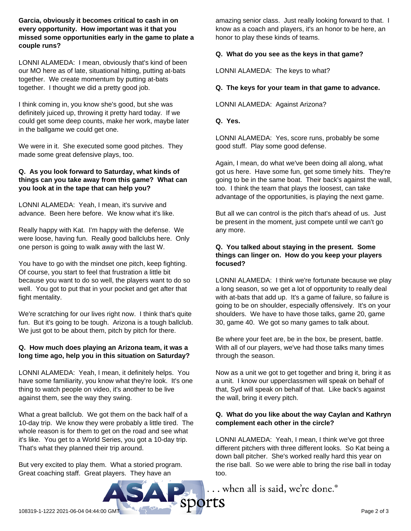**Garcia, obviously it becomes critical to cash in on every opportunity. How important was it that you missed some opportunities early in the game to plate a couple runs?**

LONNI ALAMEDA: I mean, obviously that's kind of been our MO here as of late, situational hitting, putting at-bats together. We create momentum by putting at-bats together. I thought we did a pretty good job.

I think coming in, you know she's good, but she was definitely juiced up, throwing it pretty hard today. If we could get some deep counts, make her work, maybe later in the ballgame we could get one.

We were in it. She executed some good pitches. They made some great defensive plays, too.

#### **Q. As you look forward to Saturday, what kinds of things can you take away from this game? What can you look at in the tape that can help you?**

LONNI ALAMEDA: Yeah, I mean, it's survive and advance. Been here before. We know what it's like.

Really happy with Kat. I'm happy with the defense. We were loose, having fun. Really good ballclubs here. Only one person is going to walk away with the last W.

You have to go with the mindset one pitch, keep fighting. Of course, you start to feel that frustration a little bit because you want to do so well, the players want to do so well. You got to put that in your pocket and get after that fight mentality.

We're scratching for our lives right now. I think that's quite fun. But it's going to be tough. Arizona is a tough ballclub. We just got to be about them, pitch by pitch for there.

#### **Q. How much does playing an Arizona team, it was a long time ago, help you in this situation on Saturday?**

LONNI ALAMEDA: Yeah, I mean, it definitely helps. You have some familiarity, you know what they're look. It's one thing to watch people on video, it's another to be live against them, see the way they swing.

What a great ballclub. We got them on the back half of a 10-day trip. We know they were probably a little tired. The whole reason is for them to get on the road and see what it's like. You get to a World Series, you got a 10-day trip. That's what they planned their trip around.

But very excited to play them. What a storied program. Great coaching staff. Great players. They have an

amazing senior class. Just really looking forward to that. I know as a coach and players, it's an honor to be here, an honor to play these kinds of teams.

### **Q. What do you see as the keys in that game?**

LONNI ALAMEDA: The keys to what?

#### **Q. The keys for your team in that game to advance.**

LONNI ALAMEDA: Against Arizona?

**Q. Yes.**

LONNI ALAMEDA: Yes, score runs, probably be some good stuff. Play some good defense.

Again, I mean, do what we've been doing all along, what got us here. Have some fun, get some timely hits. They're going to be in the same boat. Their back's against the wall, too. I think the team that plays the loosest, can take advantage of the opportunities, is playing the next game.

But all we can control is the pitch that's ahead of us. Just be present in the moment, just compete until we can't go any more.

#### **Q. You talked about staying in the present. Some things can linger on. How do you keep your players focused?**

LONNI ALAMEDA: I think we're fortunate because we play a long season, so we get a lot of opportunity to really deal with at-bats that add up. It's a game of failure, so failure is going to be on shoulder, especially offensively. It's on your shoulders. We have to have those talks, game 20, game 30, game 40. We got so many games to talk about.

Be where your feet are, be in the box, be present, battle. With all of our players, we've had those talks many times through the season.

Now as a unit we got to get together and bring it, bring it as a unit. I know our upperclassmen will speak on behalf of that, Syd will speak on behalf of that. Like back's against the wall, bring it every pitch.

#### **Q. What do you like about the way Caylan and Kathryn complement each other in the circle?**

LONNI ALAMEDA: Yeah, I mean, I think we've got three different pitchers with three different looks. So Kat being a down ball pitcher. She's worked really hard this year on the rise ball. So we were able to bring the rise ball in today too.

... when all is said, we're done.®